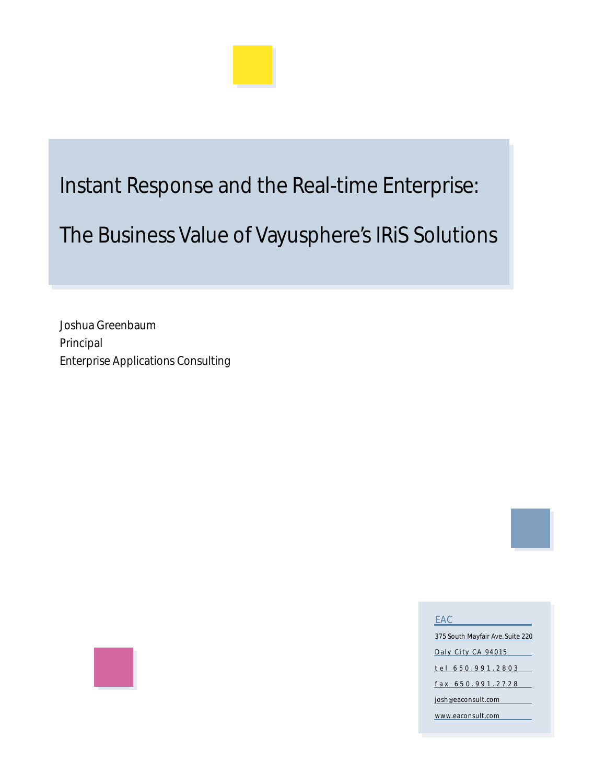

## Instant Response and the Real-time Enterprise:

# The Business Value of Vayusphere's IRiS Solutions

Joshua Greenbaum Principal Enterprise Applications Consulting



375 South Mayfair Ave. Suite 220 Daly City CA 94015 t e l 6 5 0 . 9 9 1 . 2 8 0 3 f a x 6 5 0 . 9 9 1 . 2 7 2 8 josh@eaconsult.com www.eaconsult.com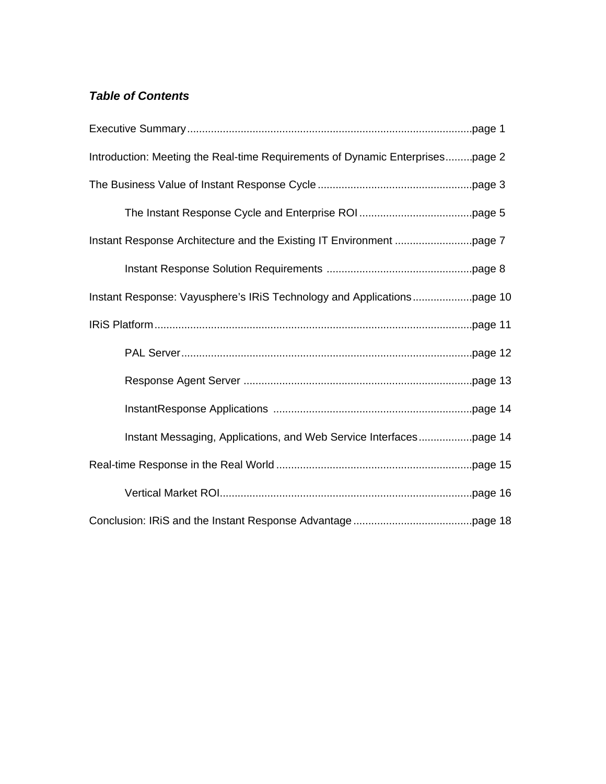### *Table of Contents*

| Introduction: Meeting the Real-time Requirements of Dynamic Enterprisespage 2 |  |
|-------------------------------------------------------------------------------|--|
|                                                                               |  |
|                                                                               |  |
|                                                                               |  |
|                                                                               |  |
|                                                                               |  |
|                                                                               |  |
|                                                                               |  |
|                                                                               |  |
|                                                                               |  |
|                                                                               |  |
|                                                                               |  |
|                                                                               |  |
|                                                                               |  |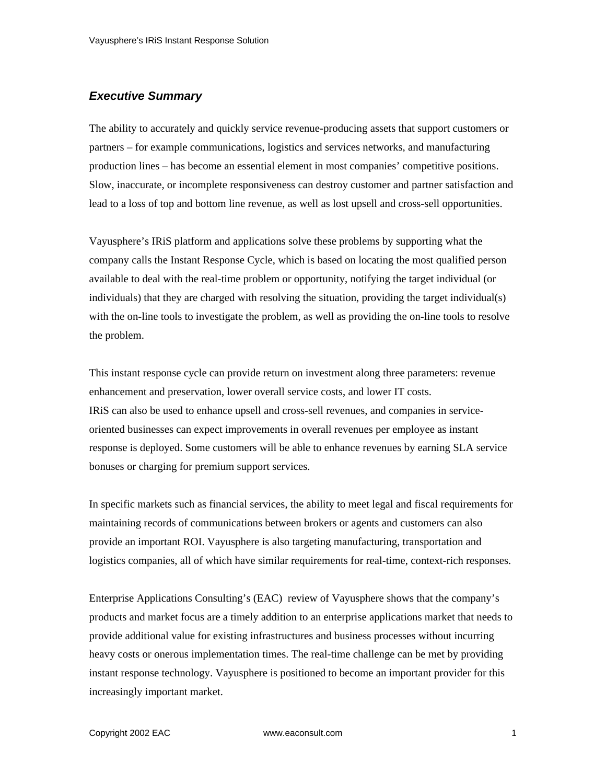#### *Executive Summary*

The ability to accurately and quickly service revenue-producing assets that support customers or partners – for example communications, logistics and services networks, and manufacturing production lines – has become an essential element in most companies' competitive positions. Slow, inaccurate, or incomplete responsiveness can destroy customer and partner satisfaction and lead to a loss of top and bottom line revenue, as well as lost upsell and cross-sell opportunities.

Vayusphere's IRiS platform and applications solve these problems by supporting what the company calls the Instant Response Cycle, which is based on locating the most qualified person available to deal with the real-time problem or opportunity, notifying the target individual (or individuals) that they are charged with resolving the situation, providing the target individual(s) with the on-line tools to investigate the problem, as well as providing the on-line tools to resolve the problem.

This instant response cycle can provide return on investment along three parameters: revenue enhancement and preservation, lower overall service costs, and lower IT costs. IRiS can also be used to enhance upsell and cross-sell revenues, and companies in serviceoriented businesses can expect improvements in overall revenues per employee as instant response is deployed. Some customers will be able to enhance revenues by earning SLA service bonuses or charging for premium support services.

In specific markets such as financial services, the ability to meet legal and fiscal requirements for maintaining records of communications between brokers or agents and customers can also provide an important ROI. Vayusphere is also targeting manufacturing, transportation and logistics companies, all of which have similar requirements for real-time, context-rich responses.

Enterprise Applications Consulting's (EAC) review of Vayusphere shows that the company's products and market focus are a timely addition to an enterprise applications market that needs to provide additional value for existing infrastructures and business processes without incurring heavy costs or onerous implementation times. The real-time challenge can be met by providing instant response technology. Vayusphere is positioned to become an important provider for this increasingly important market.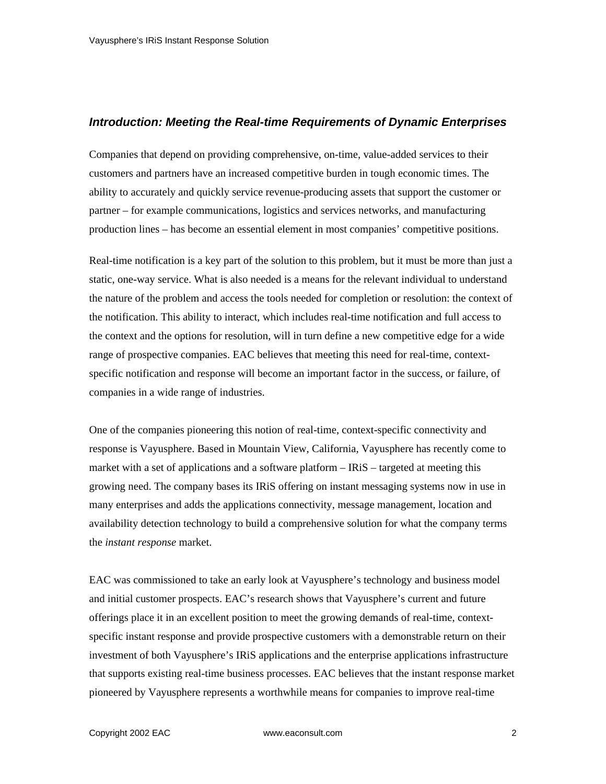#### *Introduction: Meeting the Real-time Requirements of Dynamic Enterprises*

Companies that depend on providing comprehensive, on-time, value-added services to their customers and partners have an increased competitive burden in tough economic times. The ability to accurately and quickly service revenue-producing assets that support the customer or partner – for example communications, logistics and services networks, and manufacturing production lines – has become an essential element in most companies' competitive positions.

Real-time notification is a key part of the solution to this problem, but it must be more than just a static, one-way service. What is also needed is a means for the relevant individual to understand the nature of the problem and access the tools needed for completion or resolution: the context of the notification. This ability to interact, which includes real-time notification and full access to the context and the options for resolution, will in turn define a new competitive edge for a wide range of prospective companies. EAC believes that meeting this need for real-time, contextspecific notification and response will become an important factor in the success, or failure, of companies in a wide range of industries.

One of the companies pioneering this notion of real-time, context-specific connectivity and response is Vayusphere. Based in Mountain View, California, Vayusphere has recently come to market with a set of applications and a software platform – IRiS – targeted at meeting this growing need. The company bases its IRiS offering on instant messaging systems now in use in many enterprises and adds the applications connectivity, message management, location and availability detection technology to build a comprehensive solution for what the company terms the *instant response* market.

EAC was commissioned to take an early look at Vayusphere's technology and business model and initial customer prospects. EAC's research shows that Vayusphere's current and future offerings place it in an excellent position to meet the growing demands of real-time, contextspecific instant response and provide prospective customers with a demonstrable return on their investment of both Vayusphere's IRiS applications and the enterprise applications infrastructure that supports existing real-time business processes. EAC believes that the instant response market pioneered by Vayusphere represents a worthwhile means for companies to improve real-time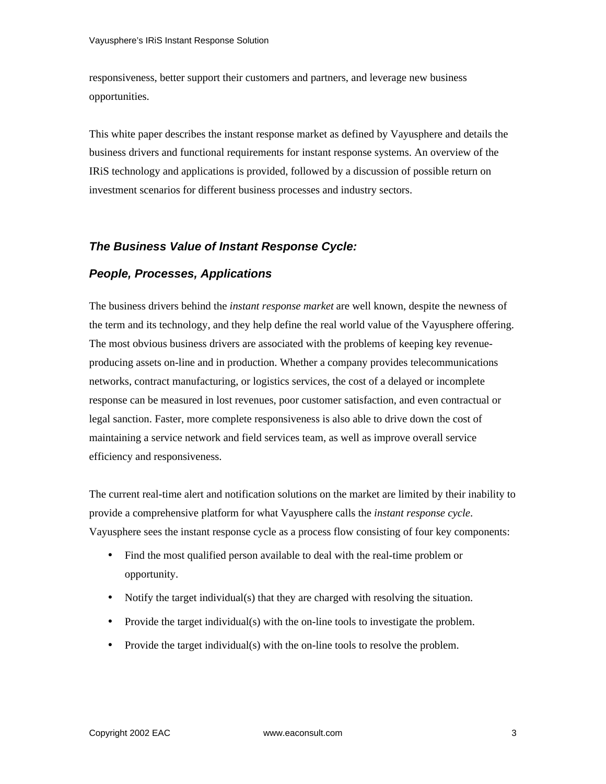responsiveness, better support their customers and partners, and leverage new business opportunities.

This white paper describes the instant response market as defined by Vayusphere and details the business drivers and functional requirements for instant response systems. An overview of the IRiS technology and applications is provided, followed by a discussion of possible return on investment scenarios for different business processes and industry sectors.

#### *The Business Value of Instant Response Cycle:*

#### *People, Processes, Applications*

The business drivers behind the *instant response market* are well known, despite the newness of the term and its technology, and they help define the real world value of the Vayusphere offering. The most obvious business drivers are associated with the problems of keeping key revenueproducing assets on-line and in production. Whether a company provides telecommunications networks, contract manufacturing, or logistics services, the cost of a delayed or incomplete response can be measured in lost revenues, poor customer satisfaction, and even contractual or legal sanction. Faster, more complete responsiveness is also able to drive down the cost of maintaining a service network and field services team, as well as improve overall service efficiency and responsiveness.

The current real-time alert and notification solutions on the market are limited by their inability to provide a comprehensive platform for what Vayusphere calls the *instant response cycle*. Vayusphere sees the instant response cycle as a process flow consisting of four key components:

- Find the most qualified person available to deal with the real-time problem or opportunity.
- Notify the target individual(s) that they are charged with resolving the situation.
- Provide the target individual(s) with the on-line tools to investigate the problem.
- Provide the target individual(s) with the on-line tools to resolve the problem.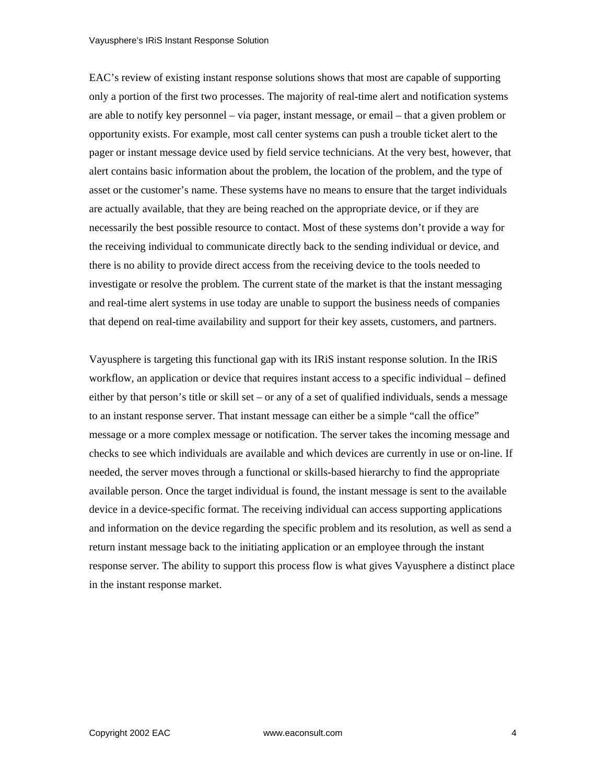EAC's review of existing instant response solutions shows that most are capable of supporting only a portion of the first two processes. The majority of real-time alert and notification systems are able to notify key personnel – via pager, instant message, or email – that a given problem or opportunity exists. For example, most call center systems can push a trouble ticket alert to the pager or instant message device used by field service technicians. At the very best, however, that alert contains basic information about the problem, the location of the problem, and the type of asset or the customer's name. These systems have no means to ensure that the target individuals are actually available, that they are being reached on the appropriate device, or if they are necessarily the best possible resource to contact. Most of these systems don't provide a way for the receiving individual to communicate directly back to the sending individual or device, and there is no ability to provide direct access from the receiving device to the tools needed to investigate or resolve the problem. The current state of the market is that the instant messaging and real-time alert systems in use today are unable to support the business needs of companies that depend on real-time availability and support for their key assets, customers, and partners.

Vayusphere is targeting this functional gap with its IRiS instant response solution. In the IRiS workflow, an application or device that requires instant access to a specific individual – defined either by that person's title or skill set – or any of a set of qualified individuals, sends a message to an instant response server. That instant message can either be a simple "call the office" message or a more complex message or notification. The server takes the incoming message and checks to see which individuals are available and which devices are currently in use or on-line. If needed, the server moves through a functional or skills-based hierarchy to find the appropriate available person. Once the target individual is found, the instant message is sent to the available device in a device-specific format. The receiving individual can access supporting applications and information on the device regarding the specific problem and its resolution, as well as send a return instant message back to the initiating application or an employee through the instant response server. The ability to support this process flow is what gives Vayusphere a distinct place in the instant response market.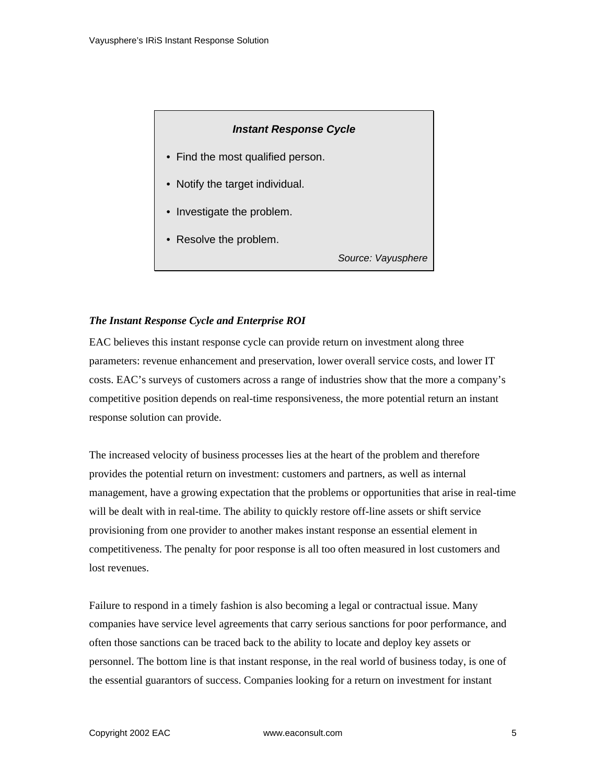#### *Instant Response Cycle*

- Find the most qualified person.
- Notify the target individual.
- Investigate the problem.
- Resolve the problem.

*Source: Vayusphere*

#### *The Instant Response Cycle and Enterprise ROI*

EAC believes this instant response cycle can provide return on investment along three parameters: revenue enhancement and preservation, lower overall service costs, and lower IT costs. EAC's surveys of customers across a range of industries show that the more a company's competitive position depends on real-time responsiveness, the more potential return an instant response solution can provide.

The increased velocity of business processes lies at the heart of the problem and therefore provides the potential return on investment: customers and partners, as well as internal management, have a growing expectation that the problems or opportunities that arise in real-time will be dealt with in real-time. The ability to quickly restore off-line assets or shift service provisioning from one provider to another makes instant response an essential element in competitiveness. The penalty for poor response is all too often measured in lost customers and lost revenues.

Failure to respond in a timely fashion is also becoming a legal or contractual issue. Many companies have service level agreements that carry serious sanctions for poor performance, and often those sanctions can be traced back to the ability to locate and deploy key assets or personnel. The bottom line is that instant response, in the real world of business today, is one of the essential guarantors of success. Companies looking for a return on investment for instant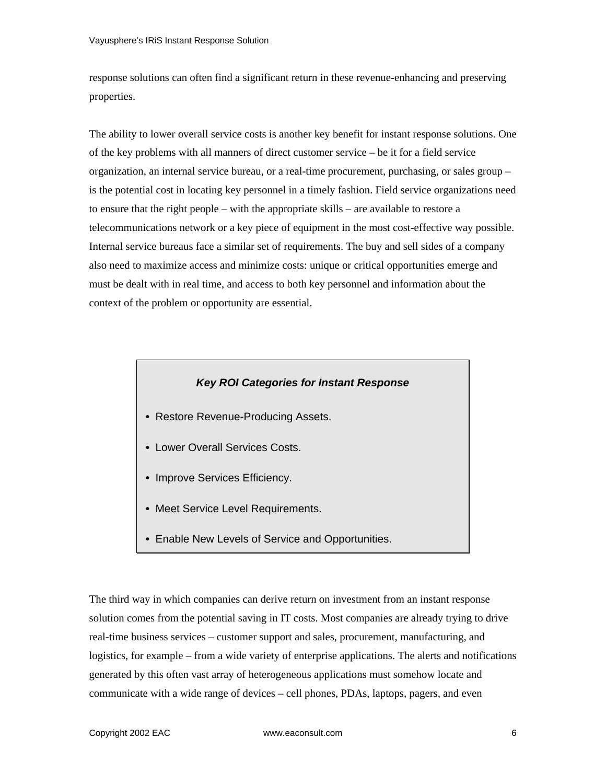response solutions can often find a significant return in these revenue-enhancing and preserving properties.

The ability to lower overall service costs is another key benefit for instant response solutions. One of the key problems with all manners of direct customer service – be it for a field service organization, an internal service bureau, or a real-time procurement, purchasing, or sales group – is the potential cost in locating key personnel in a timely fashion. Field service organizations need to ensure that the right people – with the appropriate skills – are available to restore a telecommunications network or a key piece of equipment in the most cost-effective way possible. Internal service bureaus face a similar set of requirements. The buy and sell sides of a company also need to maximize access and minimize costs: unique or critical opportunities emerge and must be dealt with in real time, and access to both key personnel and information about the context of the problem or opportunity are essential.

#### *Key ROI Categories for Instant Response*

- Restore Revenue-Producing Assets.
- Lower Overall Services Costs.
- Improve Services Efficiency.
- Meet Service Level Requirements.
- Enable New Levels of Service and Opportunities.

The third way in which companies can derive return on investment from an instant response solution comes from the potential saving in IT costs. Most companies are already trying to drive real-time business services – customer support and sales, procurement, manufacturing, and logistics, for example – from a wide variety of enterprise applications. The alerts and notifications generated by this often vast array of heterogeneous applications must somehow locate and communicate with a wide range of devices – cell phones, PDAs, laptops, pagers, and even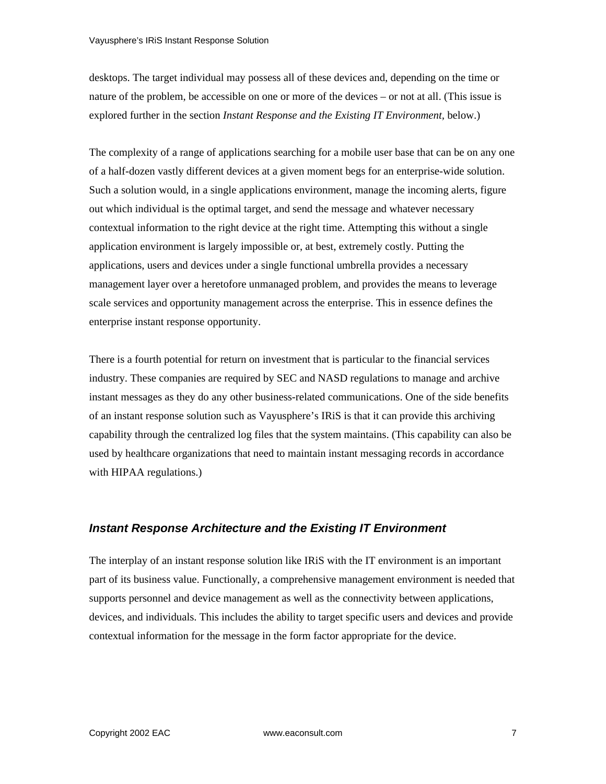desktops. The target individual may possess all of these devices and, depending on the time or nature of the problem, be accessible on one or more of the devices – or not at all. (This issue is explored further in the section *Instant Response and the Existing IT Environment,* below.)

The complexity of a range of applications searching for a mobile user base that can be on any one of a half-dozen vastly different devices at a given moment begs for an enterprise-wide solution. Such a solution would, in a single applications environment, manage the incoming alerts, figure out which individual is the optimal target, and send the message and whatever necessary contextual information to the right device at the right time. Attempting this without a single application environment is largely impossible or, at best, extremely costly. Putting the applications, users and devices under a single functional umbrella provides a necessary management layer over a heretofore unmanaged problem, and provides the means to leverage scale services and opportunity management across the enterprise. This in essence defines the enterprise instant response opportunity.

There is a fourth potential for return on investment that is particular to the financial services industry. These companies are required by SEC and NASD regulations to manage and archive instant messages as they do any other business-related communications. One of the side benefits of an instant response solution such as Vayusphere's IRiS is that it can provide this archiving capability through the centralized log files that the system maintains. (This capability can also be used by healthcare organizations that need to maintain instant messaging records in accordance with HIPAA regulations.)

#### *Instant Response Architecture and the Existing IT Environment*

The interplay of an instant response solution like IRiS with the IT environment is an important part of its business value. Functionally, a comprehensive management environment is needed that supports personnel and device management as well as the connectivity between applications, devices, and individuals. This includes the ability to target specific users and devices and provide contextual information for the message in the form factor appropriate for the device.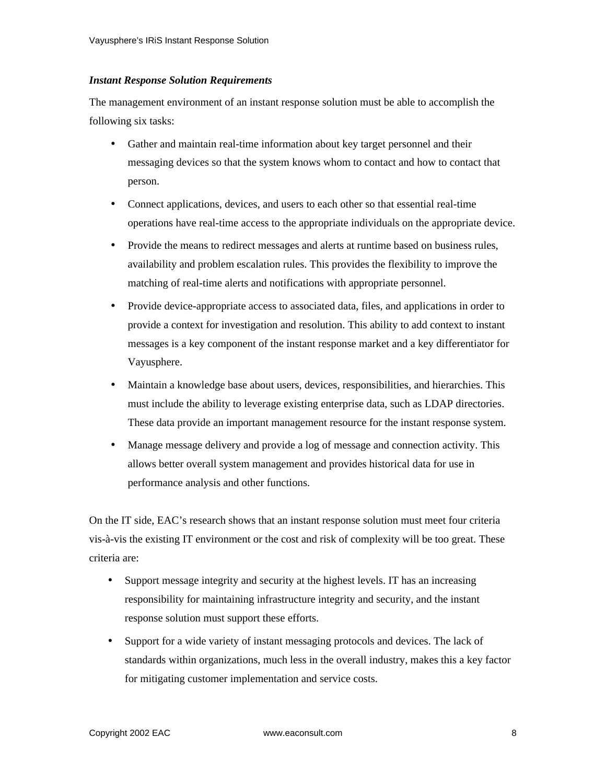#### *Instant Response Solution Requirements*

The management environment of an instant response solution must be able to accomplish the following six tasks:

- Gather and maintain real-time information about key target personnel and their messaging devices so that the system knows whom to contact and how to contact that person.
- Connect applications, devices, and users to each other so that essential real-time operations have real-time access to the appropriate individuals on the appropriate device.
- Provide the means to redirect messages and alerts at runtime based on business rules, availability and problem escalation rules. This provides the flexibility to improve the matching of real-time alerts and notifications with appropriate personnel.
- Provide device-appropriate access to associated data, files, and applications in order to provide a context for investigation and resolution. This ability to add context to instant messages is a key component of the instant response market and a key differentiator for Vayusphere.
- Maintain a knowledge base about users, devices, responsibilities, and hierarchies. This must include the ability to leverage existing enterprise data, such as LDAP directories. These data provide an important management resource for the instant response system.
- Manage message delivery and provide a log of message and connection activity. This allows better overall system management and provides historical data for use in performance analysis and other functions.

On the IT side, EAC's research shows that an instant response solution must meet four criteria vis-à-vis the existing IT environment or the cost and risk of complexity will be too great. These criteria are:

- Support message integrity and security at the highest levels. IT has an increasing responsibility for maintaining infrastructure integrity and security, and the instant response solution must support these efforts.
- Support for a wide variety of instant messaging protocols and devices. The lack of standards within organizations, much less in the overall industry, makes this a key factor for mitigating customer implementation and service costs.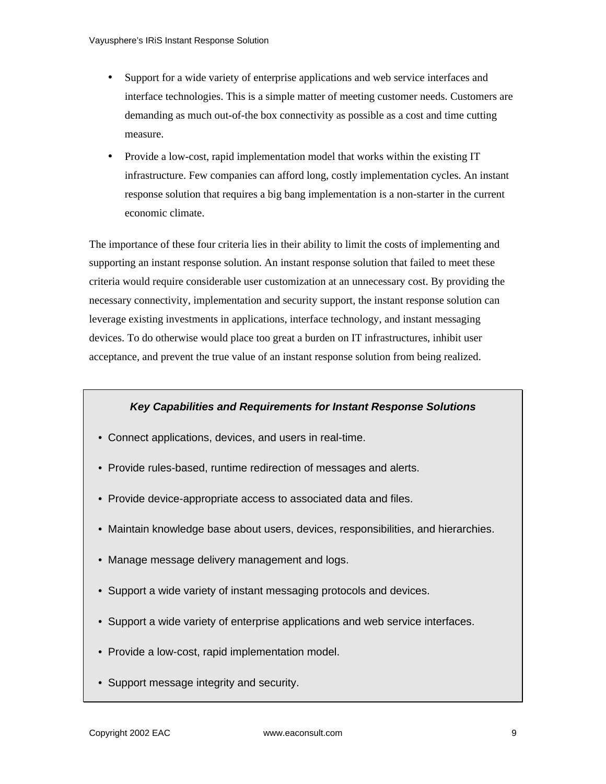- Support for a wide variety of enterprise applications and web service interfaces and interface technologies. This is a simple matter of meeting customer needs. Customers are demanding as much out-of-the box connectivity as possible as a cost and time cutting measure.
- Provide a low-cost, rapid implementation model that works within the existing IT infrastructure. Few companies can afford long, costly implementation cycles. An instant response solution that requires a big bang implementation is a non-starter in the current economic climate.

The importance of these four criteria lies in their ability to limit the costs of implementing and supporting an instant response solution. An instant response solution that failed to meet these criteria would require considerable user customization at an unnecessary cost. By providing the necessary connectivity, implementation and security support, the instant response solution can leverage existing investments in applications, interface technology, and instant messaging devices. To do otherwise would place too great a burden on IT infrastructures, inhibit user acceptance, and prevent the true value of an instant response solution from being realized.

#### *Key Capabilities and Requirements for Instant Response Solutions*

- Connect applications, devices, and users in real-time.
- Provide rules-based, runtime redirection of messages and alerts.
- Provide device-appropriate access to associated data and files.
- Maintain knowledge base about users, devices, responsibilities, and hierarchies.
- Manage message delivery management and logs.
- Support a wide variety of instant messaging protocols and devices.
- Support a wide variety of enterprise applications and web service interfaces.
- Provide a low-cost, rapid implementation model.
- Support message integrity and security.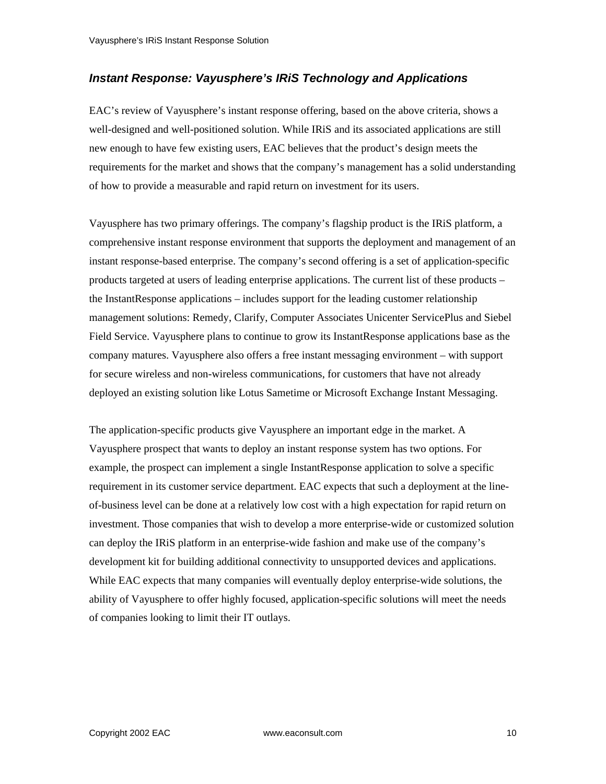#### *Instant Response: Vayusphere's IRiS Technology and Applications*

EAC's review of Vayusphere's instant response offering, based on the above criteria, shows a well-designed and well-positioned solution. While IRiS and its associated applications are still new enough to have few existing users, EAC believes that the product's design meets the requirements for the market and shows that the company's management has a solid understanding of how to provide a measurable and rapid return on investment for its users.

Vayusphere has two primary offerings. The company's flagship product is the IRiS platform, a comprehensive instant response environment that supports the deployment and management of an instant response-based enterprise. The company's second offering is a set of application-specific products targeted at users of leading enterprise applications. The current list of these products – the InstantResponse applications – includes support for the leading customer relationship management solutions: Remedy, Clarify, Computer Associates Unicenter ServicePlus and Siebel Field Service. Vayusphere plans to continue to grow its InstantResponse applications base as the company matures. Vayusphere also offers a free instant messaging environment – with support for secure wireless and non-wireless communications, for customers that have not already deployed an existing solution like Lotus Sametime or Microsoft Exchange Instant Messaging.

The application-specific products give Vayusphere an important edge in the market. A Vayusphere prospect that wants to deploy an instant response system has two options. For example, the prospect can implement a single InstantResponse application to solve a specific requirement in its customer service department. EAC expects that such a deployment at the lineof-business level can be done at a relatively low cost with a high expectation for rapid return on investment. Those companies that wish to develop a more enterprise-wide or customized solution can deploy the IRiS platform in an enterprise-wide fashion and make use of the company's development kit for building additional connectivity to unsupported devices and applications. While EAC expects that many companies will eventually deploy enterprise-wide solutions, the ability of Vayusphere to offer highly focused, application-specific solutions will meet the needs of companies looking to limit their IT outlays.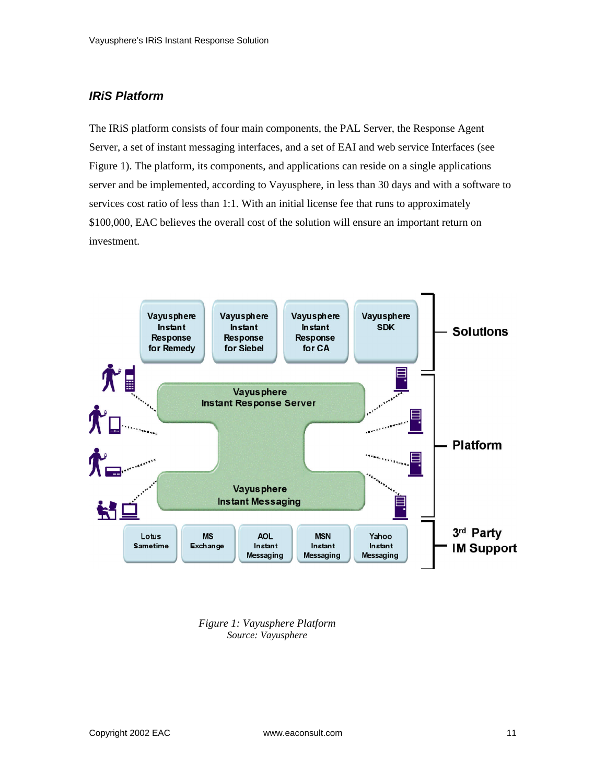#### *IRiS Platform*

The IRiS platform consists of four main components, the PAL Server, the Response Agent Server, a set of instant messaging interfaces, and a set of EAI and web service Interfaces (see Figure 1). The platform, its components, and applications can reside on a single applications server and be implemented, according to Vayusphere, in less than 30 days and with a software to services cost ratio of less than 1:1. With an initial license fee that runs to approximately \$100,000, EAC believes the overall cost of the solution will ensure an important return on investment.



*Figure 1: Vayusphere Platform Source: Vayusphere*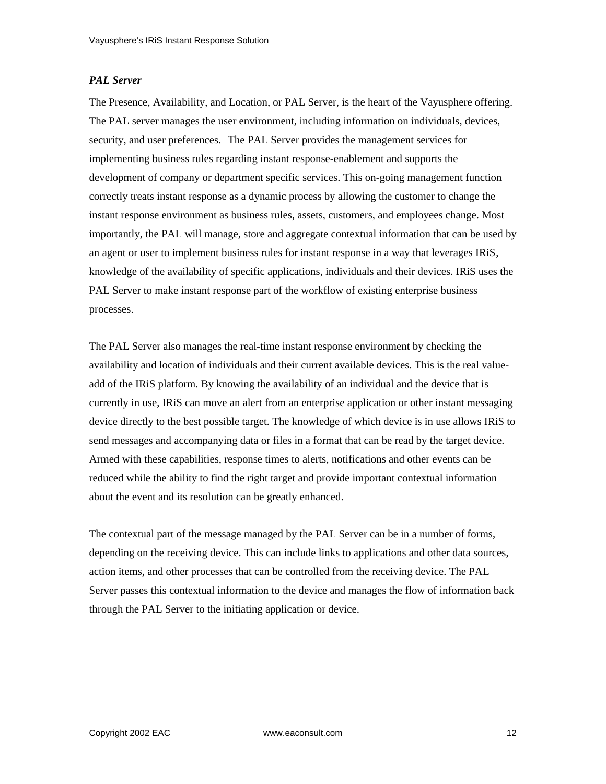#### *PAL Server*

The Presence, Availability, and Location, or PAL Server, is the heart of the Vayusphere offering. The PAL server manages the user environment, including information on individuals, devices, security, and user preferences. The PAL Server provides the management services for implementing business rules regarding instant response-enablement and supports the development of company or department specific services. This on-going management function correctly treats instant response as a dynamic process by allowing the customer to change the instant response environment as business rules, assets, customers, and employees change. Most importantly, the PAL will manage, store and aggregate contextual information that can be used by an agent or user to implement business rules for instant response in a way that leverages IRiS, knowledge of the availability of specific applications, individuals and their devices. IRiS uses the PAL Server to make instant response part of the workflow of existing enterprise business processes.

The PAL Server also manages the real-time instant response environment by checking the availability and location of individuals and their current available devices. This is the real valueadd of the IRiS platform. By knowing the availability of an individual and the device that is currently in use, IRiS can move an alert from an enterprise application or other instant messaging device directly to the best possible target. The knowledge of which device is in use allows IRiS to send messages and accompanying data or files in a format that can be read by the target device. Armed with these capabilities, response times to alerts, notifications and other events can be reduced while the ability to find the right target and provide important contextual information about the event and its resolution can be greatly enhanced.

The contextual part of the message managed by the PAL Server can be in a number of forms, depending on the receiving device. This can include links to applications and other data sources, action items, and other processes that can be controlled from the receiving device. The PAL Server passes this contextual information to the device and manages the flow of information back through the PAL Server to the initiating application or device.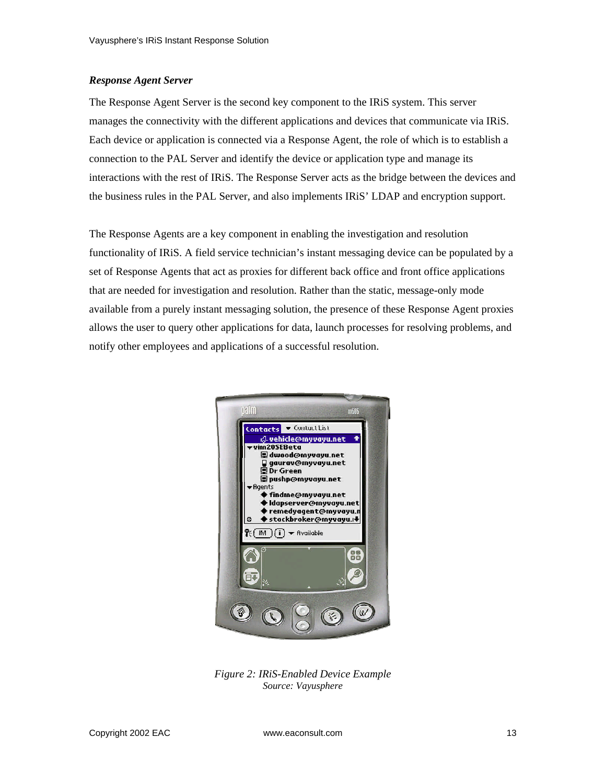#### *Response Agent Server*

The Response Agent Server is the second key component to the IRiS system. This server manages the connectivity with the different applications and devices that communicate via IRiS. Each device or application is connected via a Response Agent, the role of which is to establish a connection to the PAL Server and identify the device or application type and manage its interactions with the rest of IRiS. The Response Server acts as the bridge between the devices and the business rules in the PAL Server, and also implements IRiS' LDAP and encryption support.

The Response Agents are a key component in enabling the investigation and resolution functionality of IRiS. A field service technician's instant messaging device can be populated by a set of Response Agents that act as proxies for different back office and front office applications that are needed for investigation and resolution. Rather than the static, message-only mode available from a purely instant messaging solution, the presence of these Response Agent proxies allows the user to query other applications for data, launch processes for resolving problems, and notify other employees and applications of a successful resolution.



*Figure 2: IRiS-Enabled Device Example Source: Vayusphere*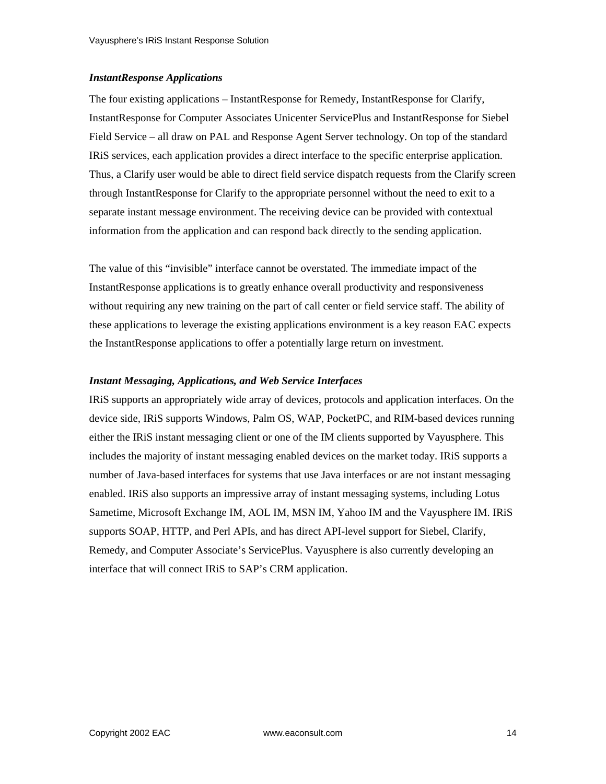#### *InstantResponse Applications*

The four existing applications – InstantResponse for Remedy, InstantResponse for Clarify, InstantResponse for Computer Associates Unicenter ServicePlus and InstantResponse for Siebel Field Service – all draw on PAL and Response Agent Server technology. On top of the standard IRiS services, each application provides a direct interface to the specific enterprise application. Thus, a Clarify user would be able to direct field service dispatch requests from the Clarify screen through InstantResponse for Clarify to the appropriate personnel without the need to exit to a separate instant message environment. The receiving device can be provided with contextual information from the application and can respond back directly to the sending application.

The value of this "invisible" interface cannot be overstated. The immediate impact of the InstantResponse applications is to greatly enhance overall productivity and responsiveness without requiring any new training on the part of call center or field service staff. The ability of these applications to leverage the existing applications environment is a key reason EAC expects the InstantResponse applications to offer a potentially large return on investment.

#### *Instant Messaging, Applications, and Web Service Interfaces*

IRiS supports an appropriately wide array of devices, protocols and application interfaces. On the device side, IRiS supports Windows, Palm OS, WAP, PocketPC, and RIM-based devices running either the IRiS instant messaging client or one of the IM clients supported by Vayusphere. This includes the majority of instant messaging enabled devices on the market today. IRiS supports a number of Java-based interfaces for systems that use Java interfaces or are not instant messaging enabled. IRiS also supports an impressive array of instant messaging systems, including Lotus Sametime, Microsoft Exchange IM, AOL IM, MSN IM, Yahoo IM and the Vayusphere IM. IRiS supports SOAP, HTTP, and Perl APIs, and has direct API-level support for Siebel, Clarify, Remedy, and Computer Associate's ServicePlus. Vayusphere is also currently developing an interface that will connect IRiS to SAP's CRM application.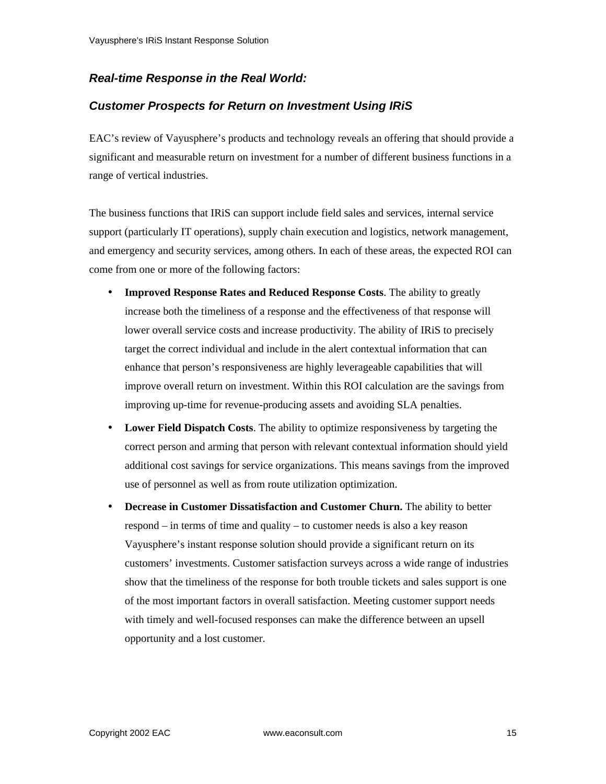#### *Real-time Response in the Real World:*

#### *Customer Prospects for Return on Investment Using IRiS*

EAC's review of Vayusphere's products and technology reveals an offering that should provide a significant and measurable return on investment for a number of different business functions in a range of vertical industries.

The business functions that IRiS can support include field sales and services, internal service support (particularly IT operations), supply chain execution and logistics, network management, and emergency and security services, among others. In each of these areas, the expected ROI can come from one or more of the following factors:

- **Improved Response Rates and Reduced Response Costs**. The ability to greatly increase both the timeliness of a response and the effectiveness of that response will lower overall service costs and increase productivity. The ability of IRiS to precisely target the correct individual and include in the alert contextual information that can enhance that person's responsiveness are highly leverageable capabilities that will improve overall return on investment. Within this ROI calculation are the savings from improving up-time for revenue-producing assets and avoiding SLA penalties.
- **Lower Field Dispatch Costs**. The ability to optimize responsiveness by targeting the correct person and arming that person with relevant contextual information should yield additional cost savings for service organizations. This means savings from the improved use of personnel as well as from route utilization optimization.
- **Decrease in Customer Dissatisfaction and Customer Churn.** The ability to better respond – in terms of time and quality – to customer needs is also a key reason Vayusphere's instant response solution should provide a significant return on its customers' investments. Customer satisfaction surveys across a wide range of industries show that the timeliness of the response for both trouble tickets and sales support is one of the most important factors in overall satisfaction. Meeting customer support needs with timely and well-focused responses can make the difference between an upsell opportunity and a lost customer.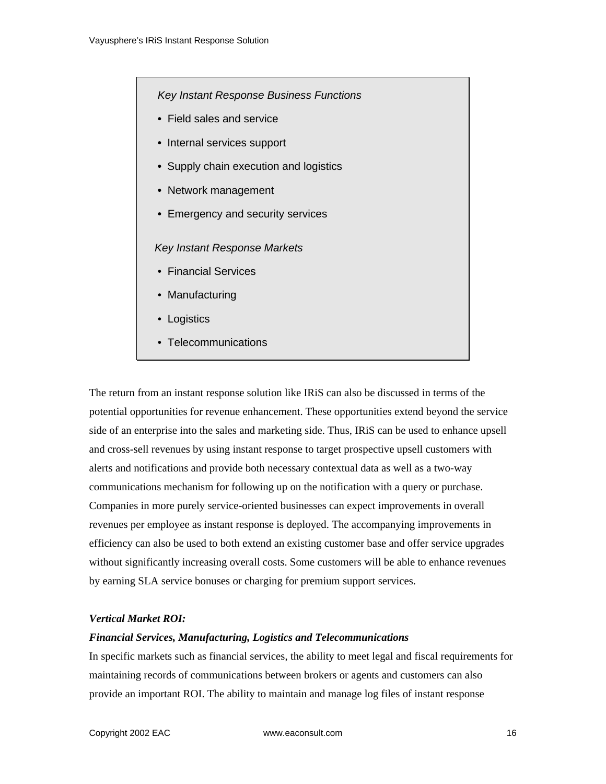*Key Instant Response Business Functions*

- Field sales and service
- Internal services support
- Supply chain execution and logistics
- Network management
- Emergency and security services

#### *Key Instant Response Markets*

- Financial Services
- Manufacturing
- Logistics
- Telecommunications

The return from an instant response solution like IRiS can also be discussed in terms of the potential opportunities for revenue enhancement. These opportunities extend beyond the service side of an enterprise into the sales and marketing side. Thus, IRiS can be used to enhance upsell and cross-sell revenues by using instant response to target prospective upsell customers with alerts and notifications and provide both necessary contextual data as well as a two-way communications mechanism for following up on the notification with a query or purchase. Companies in more purely service-oriented businesses can expect improvements in overall revenues per employee as instant response is deployed. The accompanying improvements in efficiency can also be used to both extend an existing customer base and offer service upgrades without significantly increasing overall costs. Some customers will be able to enhance revenues by earning SLA service bonuses or charging for premium support services.

#### *Vertical Market ROI:*

#### *Financial Services, Manufacturing, Logistics and Telecommunications*

In specific markets such as financial services, the ability to meet legal and fiscal requirements for maintaining records of communications between brokers or agents and customers can also provide an important ROI. The ability to maintain and manage log files of instant response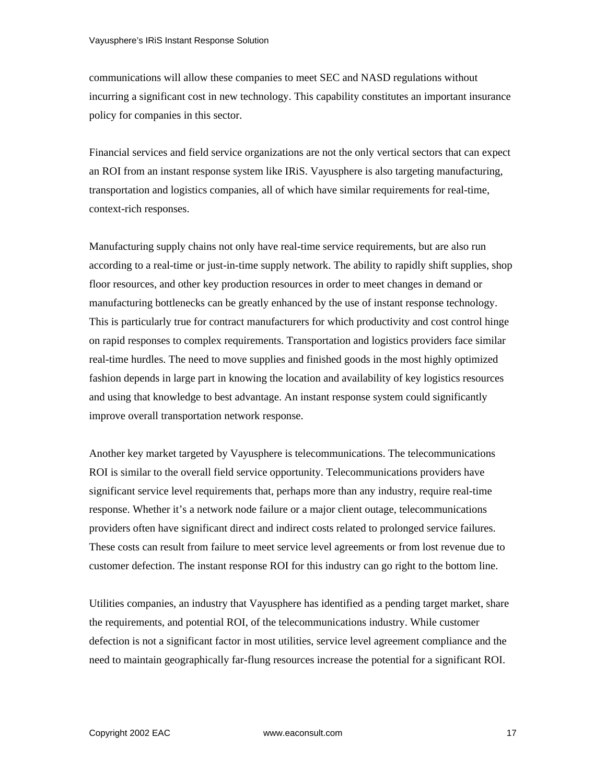communications will allow these companies to meet SEC and NASD regulations without incurring a significant cost in new technology. This capability constitutes an important insurance policy for companies in this sector.

Financial services and field service organizations are not the only vertical sectors that can expect an ROI from an instant response system like IRiS. Vayusphere is also targeting manufacturing, transportation and logistics companies, all of which have similar requirements for real-time, context-rich responses.

Manufacturing supply chains not only have real-time service requirements, but are also run according to a real-time or just-in-time supply network. The ability to rapidly shift supplies, shop floor resources, and other key production resources in order to meet changes in demand or manufacturing bottlenecks can be greatly enhanced by the use of instant response technology. This is particularly true for contract manufacturers for which productivity and cost control hinge on rapid responses to complex requirements. Transportation and logistics providers face similar real-time hurdles. The need to move supplies and finished goods in the most highly optimized fashion depends in large part in knowing the location and availability of key logistics resources and using that knowledge to best advantage. An instant response system could significantly improve overall transportation network response.

Another key market targeted by Vayusphere is telecommunications. The telecommunications ROI is similar to the overall field service opportunity. Telecommunications providers have significant service level requirements that, perhaps more than any industry, require real-time response. Whether it's a network node failure or a major client outage, telecommunications providers often have significant direct and indirect costs related to prolonged service failures. These costs can result from failure to meet service level agreements or from lost revenue due to customer defection. The instant response ROI for this industry can go right to the bottom line.

Utilities companies, an industry that Vayusphere has identified as a pending target market, share the requirements, and potential ROI, of the telecommunications industry. While customer defection is not a significant factor in most utilities, service level agreement compliance and the need to maintain geographically far-flung resources increase the potential for a significant ROI.